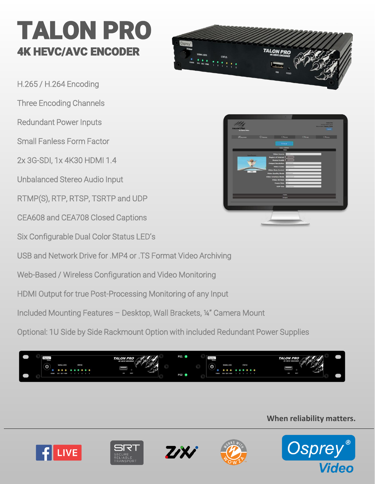# TALON PRO 4K HEVC/AVC ENCODER

H.265 / H.264 Encoding Three Encoding Channels Redundant Power Inputs Small Fanless Form Factor 2x 3G-SDI, 1x 4K30 HDMI 1.4 Unbalanced Stereo Audio Input RTMP(S), RTP, RTSP, TSRTP and UDP CEA608 and CEA708 Closed Captions Six Configurable Dual Color Status LED's USB and Network Drive for .MP4 or .TS Format Video Archiving

Web-Based / Wireless Configuration and Video Monitoring

HDMI Output for true Post-Processing Monitoring of any Input

Included Mounting Features – Desktop, Wall Brackets, ¼" Camera Mount

Optional: 1U Side by Side Rackmount Option with included Redundant Power Supplies



**When reliability matters.**